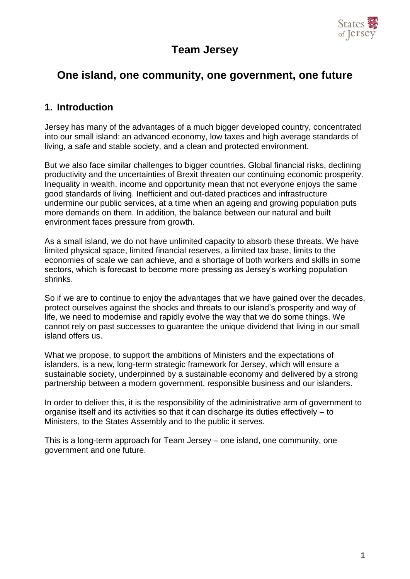

# **Team Jersey**

# **One island, one community, one government, one future**

### **1. Introduction**

Jersey has many of the advantages of a much bigger developed country, concentrated into our small island: an advanced economy, low taxes and high average standards of living, a safe and stable society, and a clean and protected environment.

But we also face similar challenges to bigger countries. Global financial risks, declining productivity and the uncertainties of Brexit threaten our continuing economic prosperity. Inequality in wealth, income and opportunity mean that not everyone enjoys the same good standards of living. Inefficient and out-dated practices and infrastructure undermine our public services, at a time when an ageing and growing population puts more demands on them. In addition, the balance between our natural and built environment faces pressure from growth.

As a small island, we do not have unlimited capacity to absorb these threats. We have limited physical space, limited financial reserves, a limited tax base, limits to the economies of scale we can achieve, and a shortage of both workers and skills in some sectors, which is forecast to become more pressing as Jersey's working population shrinks.

So if we are to continue to enjoy the advantages that we have gained over the decades, protect ourselves against the shocks and threats to our island's prosperity and way of life, we need to modernise and rapidly evolve the way that we do some things. We cannot rely on past successes to guarantee the unique dividend that living in our small island offers us.

What we propose, to support the ambitions of Ministers and the expectations of islanders, is a new, long-term strategic framework for Jersey, which will ensure a sustainable society, underpinned by a sustainable economy and delivered by a strong partnership between a modern government, responsible business and our islanders.

In order to deliver this, it is the responsibility of the administrative arm of government to organise itself and its activities so that it can discharge its duties effectively – to Ministers, to the States Assembly and to the public it serves.

This is a long-term approach for Team Jersey – one island, one community, one government and one future.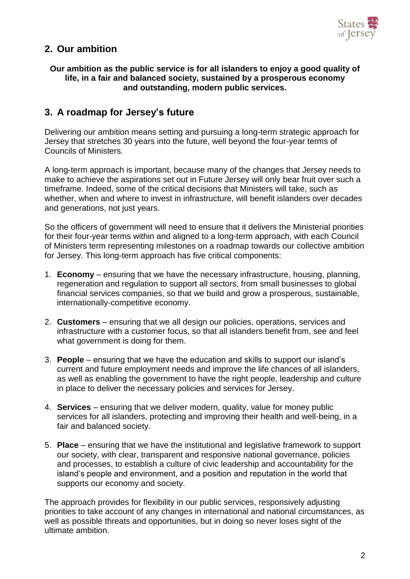

### **2. Our ambition**

#### **Our ambition as the public service is for all islanders to enjoy a good quality of life, in a fair and balanced society, sustained by a prosperous economy and outstanding, modern public services.**

### **3. A roadmap for Jersey's future**

Delivering our ambition means setting and pursuing a long-term strategic approach for Jersey that stretches 30 years into the future, well beyond the four-year terms of Councils of Ministers.

A long-term approach is important, because many of the changes that Jersey needs to make to achieve the aspirations set out in Future Jersey will only bear fruit over such a timeframe. Indeed, some of the critical decisions that Ministers will take, such as whether, when and where to invest in infrastructure, will benefit islanders over decades and generations, not just years.

So the officers of government will need to ensure that it delivers the Ministerial priorities for their four-year terms within and aligned to a long-term approach, with each Council of Ministers term representing milestones on a roadmap towards our collective ambition for Jersey. This long-term approach has five critical components:

- 1. **Economy** ensuring that we have the necessary infrastructure, housing, planning, regeneration and regulation to support all sectors, from small businesses to global financial services companies, so that we build and grow a prosperous, sustainable, internationally-competitive economy.
- 2. **Customers** ensuring that we all design our policies, operations, services and infrastructure with a customer focus, so that all islanders benefit from, see and feel what government is doing for them.
- 3. **People** ensuring that we have the education and skills to support our island's current and future employment needs and improve the life chances of all islanders, as well as enabling the government to have the right people, leadership and culture in place to deliver the necessary policies and services for Jersey.
- 4. **Services** ensuring that we deliver modern, quality, value for money public services for all islanders, protecting and improving their health and well-being, in a fair and balanced society.
- 5. **Place** ensuring that we have the institutional and legislative framework to support our society, with clear, transparent and responsive national governance, policies and processes, to establish a culture of civic leadership and accountability for the island's people and environment, and a position and reputation in the world that supports our economy and society.

The approach provides for flexibility in our public services, responsively adjusting priorities to take account of any changes in international and national circumstances, as well as possible threats and opportunities, but in doing so never loses sight of the ultimate ambition.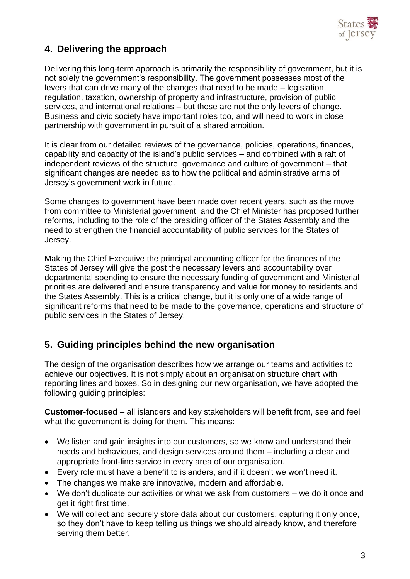

## **4. Delivering the approach**

Delivering this long-term approach is primarily the responsibility of government, but it is not solely the government's responsibility. The government possesses most of the levers that can drive many of the changes that need to be made – legislation, regulation, taxation, ownership of property and infrastructure, provision of public services, and international relations – but these are not the only levers of change. Business and civic society have important roles too, and will need to work in close partnership with government in pursuit of a shared ambition.

It is clear from our detailed reviews of the governance, policies, operations, finances, capability and capacity of the island's public services – and combined with a raft of independent reviews of the structure, governance and culture of government – that significant changes are needed as to how the political and administrative arms of Jersey's government work in future.

Some changes to government have been made over recent years, such as the move from committee to Ministerial government, and the Chief Minister has proposed further reforms, including to the role of the presiding officer of the States Assembly and the need to strengthen the financial accountability of public services for the States of Jersey.

Making the Chief Executive the principal accounting officer for the finances of the States of Jersey will give the post the necessary levers and accountability over departmental spending to ensure the necessary funding of government and Ministerial priorities are delivered and ensure transparency and value for money to residents and the States Assembly. This is a critical change, but it is only one of a wide range of significant reforms that need to be made to the governance, operations and structure of public services in the States of Jersey.

## **5. Guiding principles behind the new organisation**

The design of the organisation describes how we arrange our teams and activities to achieve our objectives. It is not simply about an organisation structure chart with reporting lines and boxes. So in designing our new organisation, we have adopted the following guiding principles:

**Customer-focused** – all islanders and key stakeholders will benefit from, see and feel what the government is doing for them. This means:

- We listen and gain insights into our customers, so we know and understand their needs and behaviours, and design services around them – including a clear and appropriate front-line service in every area of our organisation.
- Every role must have a benefit to islanders, and if it doesn't we won't need it.
- The changes we make are innovative, modern and affordable.
- We don't duplicate our activities or what we ask from customers we do it once and get it right first time.
- We will collect and securely store data about our customers, capturing it only once, so they don't have to keep telling us things we should already know, and therefore serving them better.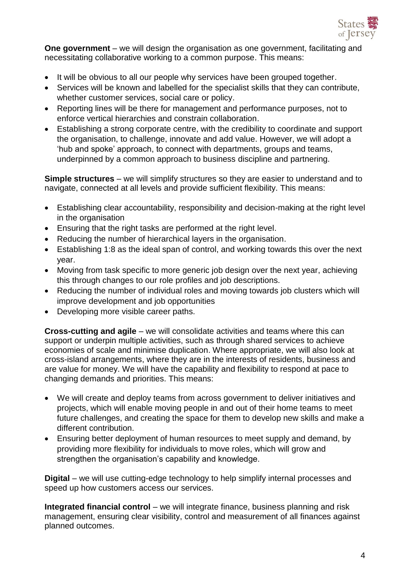

**One government** – we will design the organisation as one government, facilitating and necessitating collaborative working to a common purpose. This means:

- It will be obvious to all our people why services have been grouped together.
- Services will be known and labelled for the specialist skills that they can contribute, whether customer services, social care or policy.
- Reporting lines will be there for management and performance purposes, not to enforce vertical hierarchies and constrain collaboration.
- Establishing a strong corporate centre, with the credibility to coordinate and support the organisation, to challenge, innovate and add value. However, we will adopt a 'hub and spoke' approach, to connect with departments, groups and teams, underpinned by a common approach to business discipline and partnering.

**Simple structures** – we will simplify structures so they are easier to understand and to navigate, connected at all levels and provide sufficient flexibility. This means:

- Establishing clear accountability, responsibility and decision-making at the right level in the organisation
- Ensuring that the right tasks are performed at the right level.
- Reducing the number of hierarchical layers in the organisation.
- Establishing 1:8 as the ideal span of control, and working towards this over the next year.
- Moving from task specific to more generic job design over the next year, achieving this through changes to our role profiles and job descriptions.
- Reducing the number of individual roles and moving towards job clusters which will improve development and job opportunities
- Developing more visible career paths.

**Cross-cutting and agile** – we will consolidate activities and teams where this can support or underpin multiple activities, such as through shared services to achieve economies of scale and minimise duplication. Where appropriate, we will also look at cross-island arrangements, where they are in the interests of residents, business and are value for money. We will have the capability and flexibility to respond at pace to changing demands and priorities. This means:

- We will create and deploy teams from across government to deliver initiatives and projects, which will enable moving people in and out of their home teams to meet future challenges, and creating the space for them to develop new skills and make a different contribution.
- Ensuring better deployment of human resources to meet supply and demand, by providing more flexibility for individuals to move roles, which will grow and strengthen the organisation's capability and knowledge.

**Digital** – we will use cutting-edge technology to help simplify internal processes and speed up how customers access our services.

**Integrated financial control** – we will integrate finance, business planning and risk management, ensuring clear visibility, control and measurement of all finances against planned outcomes.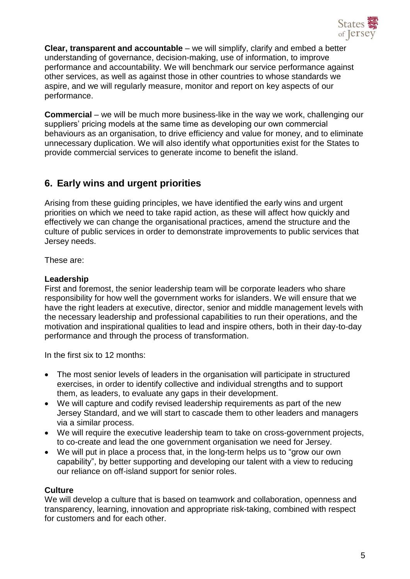

**Clear, transparent and accountable** – we will simplify, clarify and embed a better understanding of governance, decision-making, use of information, to improve performance and accountability. We will benchmark our service performance against other services, as well as against those in other countries to whose standards we aspire, and we will regularly measure, monitor and report on key aspects of our performance.

**Commercial** – we will be much more business-like in the way we work, challenging our suppliers' pricing models at the same time as developing our own commercial behaviours as an organisation, to drive efficiency and value for money, and to eliminate unnecessary duplication. We will also identify what opportunities exist for the States to provide commercial services to generate income to benefit the island.

## **6. Early wins and urgent priorities**

Arising from these guiding principles, we have identified the early wins and urgent priorities on which we need to take rapid action, as these will affect how quickly and effectively we can change the organisational practices, amend the structure and the culture of public services in order to demonstrate improvements to public services that Jersey needs.

These are:

### **Leadership**

First and foremost, the senior leadership team will be corporate leaders who share responsibility for how well the government works for islanders. We will ensure that we have the right leaders at executive, director, senior and middle management levels with the necessary leadership and professional capabilities to run their operations, and the motivation and inspirational qualities to lead and inspire others, both in their day-to-day performance and through the process of transformation.

In the first six to 12 months:

- The most senior levels of leaders in the organisation will participate in structured exercises, in order to identify collective and individual strengths and to support them, as leaders, to evaluate any gaps in their development.
- We will capture and codify revised leadership requirements as part of the new Jersey Standard, and we will start to cascade them to other leaders and managers via a similar process.
- We will require the executive leadership team to take on cross-government projects, to co-create and lead the one government organisation we need for Jersey.
- We will put in place a process that, in the long-term helps us to "grow our own capability", by better supporting and developing our talent with a view to reducing our reliance on off-island support for senior roles.

### **Culture**

We will develop a culture that is based on teamwork and collaboration, openness and transparency, learning, innovation and appropriate risk-taking, combined with respect for customers and for each other.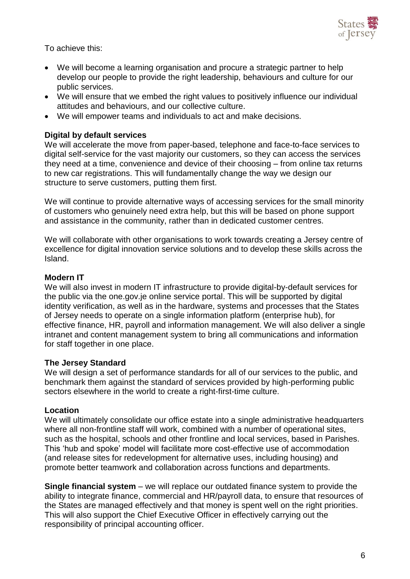

To achieve this:

- We will become a learning organisation and procure a strategic partner to help develop our people to provide the right leadership, behaviours and culture for our public services.
- We will ensure that we embed the right values to positively influence our individual attitudes and behaviours, and our collective culture.
- We will empower teams and individuals to act and make decisions.

### **Digital by default services**

We will accelerate the move from paper-based, telephone and face-to-face services to digital self-service for the vast majority our customers, so they can access the services they need at a time, convenience and device of their choosing – from online tax returns to new car registrations. This will fundamentally change the way we design our structure to serve customers, putting them first.

We will continue to provide alternative ways of accessing services for the small minority of customers who genuinely need extra help, but this will be based on phone support and assistance in the community, rather than in dedicated customer centres.

We will collaborate with other organisations to work towards creating a Jersey centre of excellence for digital innovation service solutions and to develop these skills across the Island.

#### **Modern IT**

We will also invest in modern IT infrastructure to provide digital-by-default services for the public via the one.gov.je online service portal. This will be supported by digital identity verification, as well as in the hardware, systems and processes that the States of Jersey needs to operate on a single information platform (enterprise hub), for effective finance, HR, payroll and information management. We will also deliver a single intranet and content management system to bring all communications and information for staff together in one place.

#### **The Jersey Standard**

We will design a set of performance standards for all of our services to the public, and benchmark them against the standard of services provided by high-performing public sectors elsewhere in the world to create a right-first-time culture.

#### **Location**

We will ultimately consolidate our office estate into a single administrative headquarters where all non-frontline staff will work, combined with a number of operational sites, such as the hospital, schools and other frontline and local services, based in Parishes. This 'hub and spoke' model will facilitate more cost-effective use of accommodation (and release sites for redevelopment for alternative uses, including housing) and promote better teamwork and collaboration across functions and departments.

**Single financial system** – we will replace our outdated finance system to provide the ability to integrate finance, commercial and HR/payroll data, to ensure that resources of the States are managed effectively and that money is spent well on the right priorities. This will also support the Chief Executive Officer in effectively carrying out the responsibility of principal accounting officer.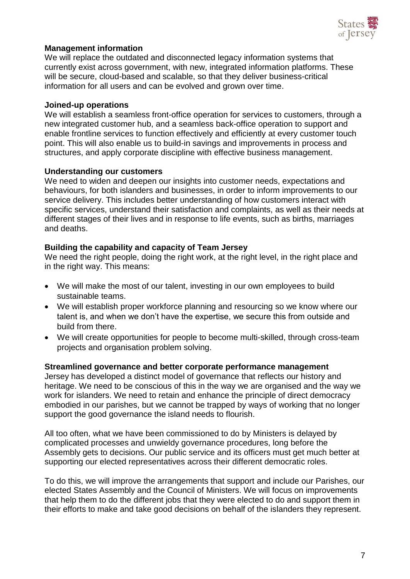

#### **Management information**

We will replace the outdated and disconnected legacy information systems that currently exist across government, with new, integrated information platforms. These will be secure, cloud-based and scalable, so that they deliver business-critical information for all users and can be evolved and grown over time.

#### **Joined-up operations**

We will establish a seamless front-office operation for services to customers, through a new integrated customer hub, and a seamless back-office operation to support and enable frontline services to function effectively and efficiently at every customer touch point. This will also enable us to build-in savings and improvements in process and structures, and apply corporate discipline with effective business management.

#### **Understanding our customers**

We need to widen and deepen our insights into customer needs, expectations and behaviours, for both islanders and businesses, in order to inform improvements to our service delivery. This includes better understanding of how customers interact with specific services, understand their satisfaction and complaints, as well as their needs at different stages of their lives and in response to life events, such as births, marriages and deaths.

#### **Building the capability and capacity of Team Jersey**

We need the right people, doing the right work, at the right level, in the right place and in the right way. This means:

- We will make the most of our talent, investing in our own employees to build sustainable teams.
- We will establish proper workforce planning and resourcing so we know where our talent is, and when we don't have the expertise, we secure this from outside and build from there.
- We will create opportunities for people to become multi-skilled, through cross-team projects and organisation problem solving.

#### **Streamlined governance and better corporate performance management**

Jersey has developed a distinct model of governance that reflects our history and heritage. We need to be conscious of this in the way we are organised and the way we work for islanders. We need to retain and enhance the principle of direct democracy embodied in our parishes, but we cannot be trapped by ways of working that no longer support the good governance the island needs to flourish.

All too often, what we have been commissioned to do by Ministers is delayed by complicated processes and unwieldy governance procedures, long before the Assembly gets to decisions. Our public service and its officers must get much better at supporting our elected representatives across their different democratic roles.

To do this, we will improve the arrangements that support and include our Parishes, our elected States Assembly and the Council of Ministers. We will focus on improvements that help them to do the different jobs that they were elected to do and support them in their efforts to make and take good decisions on behalf of the islanders they represent.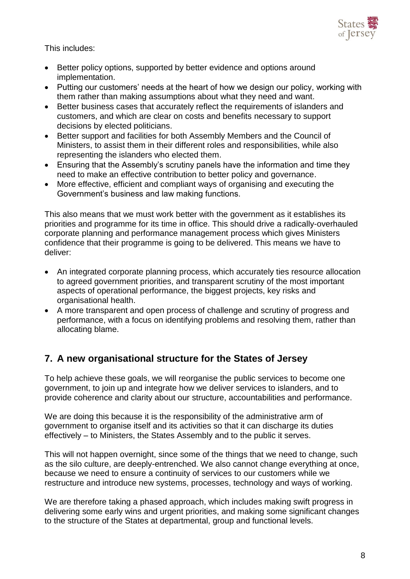

This includes:

- Better policy options, supported by better evidence and options around implementation.
- Putting our customers' needs at the heart of how we design our policy, working with them rather than making assumptions about what they need and want.
- Better business cases that accurately reflect the requirements of islanders and customers, and which are clear on costs and benefits necessary to support decisions by elected politicians.
- Better support and facilities for both Assembly Members and the Council of Ministers, to assist them in their different roles and responsibilities, while also representing the islanders who elected them.
- Ensuring that the Assembly's scrutiny panels have the information and time they need to make an effective contribution to better policy and governance.
- More effective, efficient and compliant ways of organising and executing the Government's business and law making functions.

This also means that we must work better with the government as it establishes its priorities and programme for its time in office. This should drive a radically-overhauled corporate planning and performance management process which gives Ministers confidence that their programme is going to be delivered. This means we have to deliver:

- An integrated corporate planning process, which accurately ties resource allocation to agreed government priorities, and transparent scrutiny of the most important aspects of operational performance, the biggest projects, key risks and organisational health.
- A more transparent and open process of challenge and scrutiny of progress and performance, with a focus on identifying problems and resolving them, rather than allocating blame.

## **7. A new organisational structure for the States of Jersey**

To help achieve these goals, we will reorganise the public services to become one government, to join up and integrate how we deliver services to islanders, and to provide coherence and clarity about our structure, accountabilities and performance.

We are doing this because it is the responsibility of the administrative arm of government to organise itself and its activities so that it can discharge its duties effectively – to Ministers, the States Assembly and to the public it serves.

This will not happen overnight, since some of the things that we need to change, such as the silo culture, are deeply-entrenched. We also cannot change everything at once, because we need to ensure a continuity of services to our customers while we restructure and introduce new systems, processes, technology and ways of working.

We are therefore taking a phased approach, which includes making swift progress in delivering some early wins and urgent priorities, and making some significant changes to the structure of the States at departmental, group and functional levels.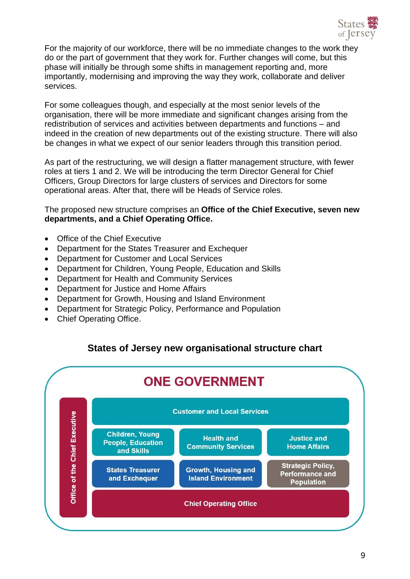

For the majority of our workforce, there will be no immediate changes to the work they do or the part of government that they work for. Further changes will come, but this phase will initially be through some shifts in management reporting and, more importantly, modernising and improving the way they work, collaborate and deliver services.

For some colleagues though, and especially at the most senior levels of the organisation, there will be more immediate and significant changes arising from the redistribution of services and activities between departments and functions – and indeed in the creation of new departments out of the existing structure. There will also be changes in what we expect of our senior leaders through this transition period.

As part of the restructuring, we will design a flatter management structure, with fewer roles at tiers 1 and 2. We will be introducing the term Director General for Chief Officers, Group Directors for large clusters of services and Directors for some operational areas. After that, there will be Heads of Service roles.

The proposed new structure comprises an **Office of the Chief Executive, seven new departments, and a Chief Operating Office.**

- Office of the Chief Executive
- Department for the States Treasurer and Exchequer
- Department for Customer and Local Services
- Department for Children, Young People, Education and Skills
- Department for Health and Community Services
- Department for Justice and Home Affairs
- Department for Growth, Housing and Island Environment
- Department for Strategic Policy, Performance and Population
- Chief Operating Office.

### **States of Jersey new organisational structure chart**

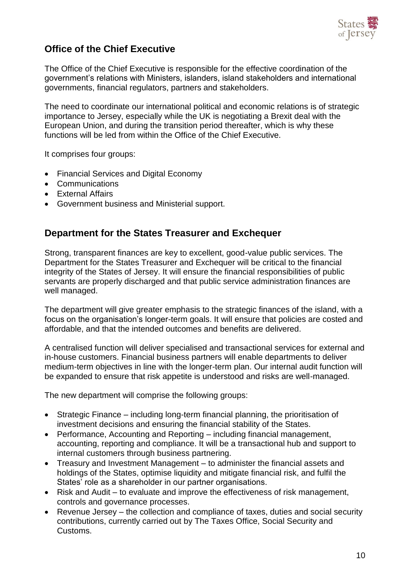

## **Office of the Chief Executive**

The Office of the Chief Executive is responsible for the effective coordination of the government's relations with Ministers, islanders, island stakeholders and international governments, financial regulators, partners and stakeholders.

The need to coordinate our international political and economic relations is of strategic importance to Jersey, especially while the UK is negotiating a Brexit deal with the European Union, and during the transition period thereafter, which is why these functions will be led from within the Office of the Chief Executive.

It comprises four groups:

- Financial Services and Digital Economy
- Communications
- **•** External Affairs
- Government business and Ministerial support.

### **Department for the States Treasurer and Exchequer**

Strong, transparent finances are key to excellent, good-value public services. The Department for the States Treasurer and Exchequer will be critical to the financial integrity of the States of Jersey. It will ensure the financial responsibilities of public servants are properly discharged and that public service administration finances are well managed.

The department will give greater emphasis to the strategic finances of the island, with a focus on the organisation's longer-term goals. It will ensure that policies are costed and affordable, and that the intended outcomes and benefits are delivered.

A centralised function will deliver specialised and transactional services for external and in-house customers. Financial business partners will enable departments to deliver medium-term objectives in line with the longer-term plan. Our internal audit function will be expanded to ensure that risk appetite is understood and risks are well-managed.

The new department will comprise the following groups:

- Strategic Finance including long-term financial planning, the prioritisation of investment decisions and ensuring the financial stability of the States.
- Performance, Accounting and Reporting including financial management, accounting, reporting and compliance. It will be a transactional hub and support to internal customers through business partnering.
- Treasury and Investment Management to administer the financial assets and holdings of the States, optimise liquidity and mitigate financial risk, and fulfil the States' role as a shareholder in our partner organisations.
- Risk and Audit to evaluate and improve the effectiveness of risk management, controls and governance processes.
- Revenue Jersey the collection and compliance of taxes, duties and social security contributions, currently carried out by The Taxes Office, Social Security and Customs.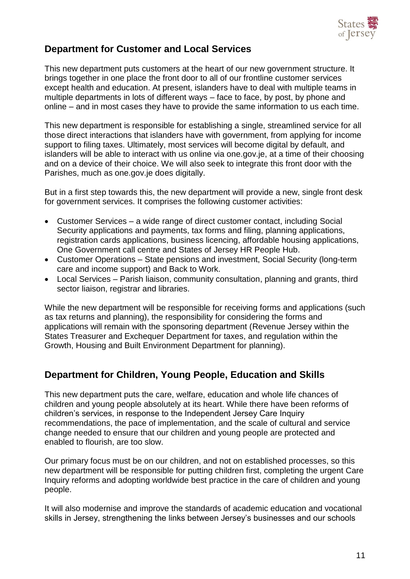

## **Department for Customer and Local Services**

This new department puts customers at the heart of our new government structure. It brings together in one place the front door to all of our frontline customer services except health and education. At present, islanders have to deal with multiple teams in multiple departments in lots of different ways – face to face, by post, by phone and online – and in most cases they have to provide the same information to us each time.

This new department is responsible for establishing a single, streamlined service for all those direct interactions that islanders have with government, from applying for income support to filing taxes. Ultimately, most services will become digital by default, and islanders will be able to interact with us online via one.gov.je, at a time of their choosing and on a device of their choice. We will also seek to integrate this front door with the Parishes, much as one.gov.je does digitally.

But in a first step towards this, the new department will provide a new, single front desk for government services. It comprises the following customer activities:

- Customer Services a wide range of direct customer contact, including Social Security applications and payments, tax forms and filing, planning applications, registration cards applications, business licencing, affordable housing applications, One Government call centre and States of Jersey HR People Hub.
- Customer Operations State pensions and investment, Social Security (long-term care and income support) and Back to Work.
- Local Services Parish liaison, community consultation, planning and grants, third sector liaison, registrar and libraries.

While the new department will be responsible for receiving forms and applications (such as tax returns and planning), the responsibility for considering the forms and applications will remain with the sponsoring department (Revenue Jersey within the States Treasurer and Exchequer Department for taxes, and regulation within the Growth, Housing and Built Environment Department for planning).

### **Department for Children, Young People, Education and Skills**

This new department puts the care, welfare, education and whole life chances of children and young people absolutely at its heart. While there have been reforms of children's services, in response to the Independent Jersey Care Inquiry recommendations, the pace of implementation, and the scale of cultural and service change needed to ensure that our children and young people are protected and enabled to flourish, are too slow.

Our primary focus must be on our children, and not on established processes, so this new department will be responsible for putting children first, completing the urgent Care Inquiry reforms and adopting worldwide best practice in the care of children and young people.

It will also modernise and improve the standards of academic education and vocational skills in Jersey, strengthening the links between Jersey's businesses and our schools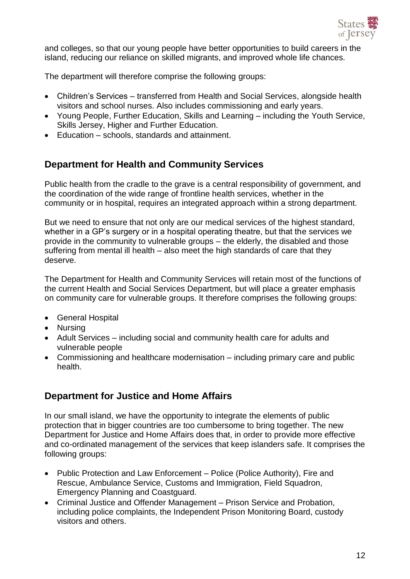

and colleges, so that our young people have better opportunities to build careers in the island, reducing our reliance on skilled migrants, and improved whole life chances.

The department will therefore comprise the following groups:

- Children's Services transferred from Health and Social Services, alongside health visitors and school nurses. Also includes commissioning and early years.
- Young People, Further Education, Skills and Learning including the Youth Service, Skills Jersey, Higher and Further Education.
- Education schools, standards and attainment.

### **Department for Health and Community Services**

Public health from the cradle to the grave is a central responsibility of government, and the coordination of the wide range of frontline health services, whether in the community or in hospital, requires an integrated approach within a strong department.

But we need to ensure that not only are our medical services of the highest standard, whether in a GP's surgery or in a hospital operating theatre, but that the services we provide in the community to vulnerable groups – the elderly, the disabled and those suffering from mental ill health – also meet the high standards of care that they deserve.

The Department for Health and Community Services will retain most of the functions of the current Health and Social Services Department, but will place a greater emphasis on community care for vulnerable groups. It therefore comprises the following groups:

- General Hospital
- Nursing
- Adult Services including social and community health care for adults and vulnerable people
- Commissioning and healthcare modernisation including primary care and public health.

### **Department for Justice and Home Affairs**

In our small island, we have the opportunity to integrate the elements of public protection that in bigger countries are too cumbersome to bring together. The new Department for Justice and Home Affairs does that, in order to provide more effective and co-ordinated management of the services that keep islanders safe. It comprises the following groups:

- Public Protection and Law Enforcement Police (Police Authority), Fire and Rescue, Ambulance Service, Customs and Immigration, Field Squadron, Emergency Planning and Coastguard.
- Criminal Justice and Offender Management Prison Service and Probation, including police complaints, the Independent Prison Monitoring Board, custody visitors and others.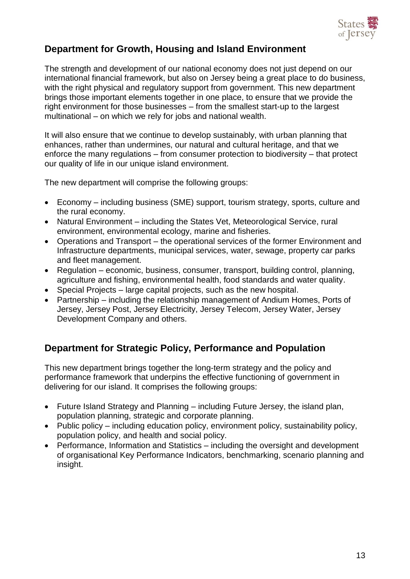

## **Department for Growth, Housing and Island Environment**

The strength and development of our national economy does not just depend on our international financial framework, but also on Jersey being a great place to do business, with the right physical and regulatory support from government. This new department brings those important elements together in one place, to ensure that we provide the right environment for those businesses – from the smallest start-up to the largest multinational – on which we rely for jobs and national wealth.

It will also ensure that we continue to develop sustainably, with urban planning that enhances, rather than undermines, our natural and cultural heritage, and that we enforce the many regulations – from consumer protection to biodiversity – that protect our quality of life in our unique island environment.

The new department will comprise the following groups:

- Economy including business (SME) support, tourism strategy, sports, culture and the rural economy.
- Natural Environment including the States Vet, Meteorological Service, rural environment, environmental ecology, marine and fisheries.
- Operations and Transport the operational services of the former Environment and Infrastructure departments, municipal services, water, sewage, property car parks and fleet management.
- Regulation economic, business, consumer, transport, building control, planning, agriculture and fishing, environmental health, food standards and water quality.
- Special Projects large capital projects, such as the new hospital.
- Partnership including the relationship management of Andium Homes, Ports of Jersey, Jersey Post, Jersey Electricity, Jersey Telecom, Jersey Water, Jersey Development Company and others.

### **Department for Strategic Policy, Performance and Population**

This new department brings together the long-term strategy and the policy and performance framework that underpins the effective functioning of government in delivering for our island. It comprises the following groups:

- Future Island Strategy and Planning including Future Jersey, the island plan, population planning, strategic and corporate planning.
- Public policy including education policy, environment policy, sustainability policy, population policy, and health and social policy.
- Performance, Information and Statistics including the oversight and development of organisational Key Performance Indicators, benchmarking, scenario planning and insight.